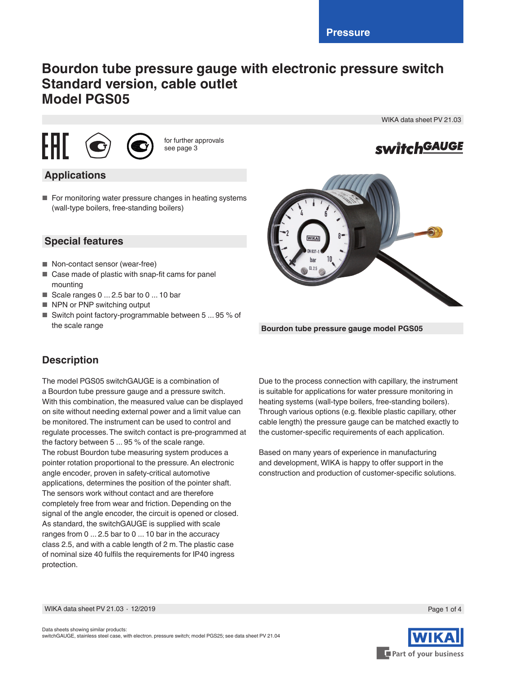# **Bourdon tube pressure gauge with electronic pressure switch Standard version, cable outlet Model PGS05**





for further approvals see page 3

### **Applications**

■ For monitoring water pressure changes in heating systems (wall-type boilers, free-standing boilers)

## **Special features**

- Non-contact sensor (wear-free)
- Case made of plastic with snap-fit cams for panel mounting
- Scale ranges 0 ... 2.5 bar to 0 ... 10 bar
- NPN or PNP switching output
- Switch point factory-programmable between 5 ... 95 % of the scale range

WIKA data sheet PV 21.03

**switchGAUGE** 

**Bourdon tube pressure gauge model PGS05**

### **Description**

The model PGS05 switchGAUGE is a combination of a Bourdon tube pressure gauge and a pressure switch. With this combination, the measured value can be displayed on site without needing external power and a limit value can be monitored. The instrument can be used to control and regulate processes. The switch contact is pre-programmed at the factory between 5 ... 95 % of the scale range. The robust Bourdon tube measuring system produces a pointer rotation proportional to the pressure. An electronic angle encoder, proven in safety-critical automotive applications, determines the position of the pointer shaft. The sensors work without contact and are therefore completely free from wear and friction. Depending on the signal of the angle encoder, the circuit is opened or closed. As standard, the switchGAUGE is supplied with scale ranges from 0 ... 2.5 bar to 0 ... 10 bar in the accuracy class 2.5, and with a cable length of 2 m. The plastic case of nominal size 40 fulfils the requirements for IP40 ingress protection.

Due to the process connection with capillary, the instrument is suitable for applications for water pressure monitoring in heating systems (wall-type boilers, free-standing boilers). Through various options (e.g. flexible plastic capillary, other cable length) the pressure gauge can be matched exactly to the customer-specific requirements of each application.

Based on many years of experience in manufacturing and development, WIKA is happy to offer support in the construction and production of customer-specific solutions.

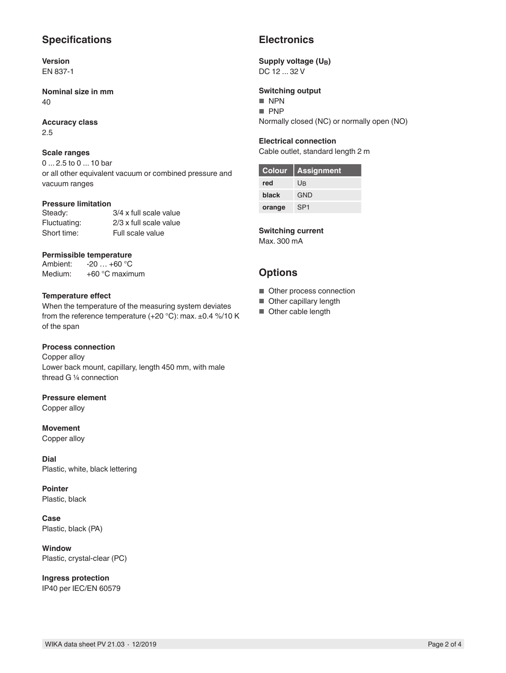### **Specifications**

**Version** EN 837-1

**Nominal size in mm** 40

**Accuracy class** 2.5

#### **Scale ranges**

0 ... 2.5 to 0 ... 10 bar or all other equivalent vacuum or combined pressure and vacuum ranges

#### **Pressure limitation**

| Steady:      | 3/4 x full scale value |
|--------------|------------------------|
| Fluctuating: | 2/3 x full scale value |
| Short time:  | Full scale value       |

#### **Permissible temperature**

| Ambient: | $-20+60$ °C      |
|----------|------------------|
| Medium:  | $+60$ °C maximum |

#### **Temperature effect**

When the temperature of the measuring system deviates from the reference temperature (+20 °C): max. ±0.4 %/10 K of the span

### **Process connection**

Copper alloy Lower back mount, capillary, length 450 mm, with male thread G ¼ connection

#### **Pressure element**

Copper alloy

**Movement** Copper alloy

**Dial** Plastic, white, black lettering

**Pointer** Plastic, black

**Case** Plastic, black (PA)

**Window** Plastic, crystal-clear (PC)

**Ingress protection** IP40 per IEC/EN 60579

### **Electronics**

#### Supply voltage (U<sub>B</sub>) DC 12 ... 32 V

**Switching output**

- NPN
- PNP

Normally closed (NC) or normally open (NO)

### **Electrical connection**

Cable outlet, standard length 2 m

| Colour | <b>Assignment</b> |
|--------|-------------------|
| red    | Uß                |
| black  | <b>GND</b>        |
| orange | SP <sub>1</sub>   |

#### **Switching current**

Max. 300 mA

### **Options**

- Other process connection
- Other capillary length
- Other cable length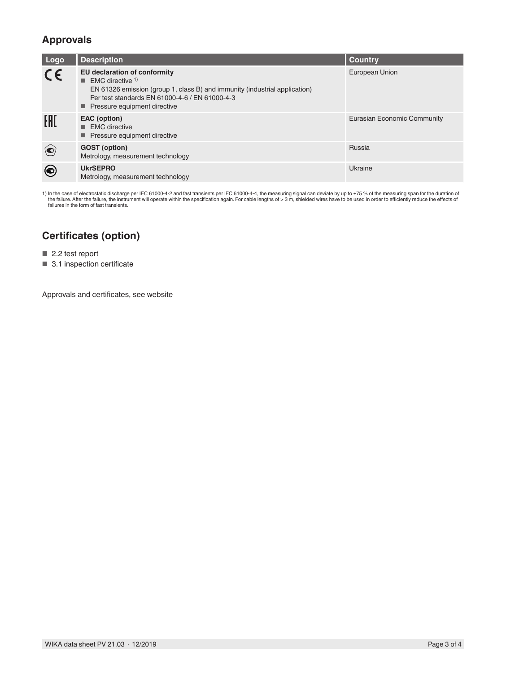### **Approvals**

| Logo        | <b>Description</b>                                                                                                                                                                                                                                  | <b>Country</b>              |
|-------------|-----------------------------------------------------------------------------------------------------------------------------------------------------------------------------------------------------------------------------------------------------|-----------------------------|
| $C\epsilon$ | <b>EU declaration of conformity</b><br>$\blacksquare$ EMC directive <sup>1)</sup><br>EN 61326 emission (group 1, class B) and immunity (industrial application)<br>Per test standards EN 61000-4-6 / EN 61000-4-3<br>■ Pressure equipment directive | European Union              |
| EAD         | EAC (option)<br>$\blacksquare$ EMC directive<br>■ Pressure equipment directive                                                                                                                                                                      | Eurasian Economic Community |
|             | <b>GOST</b> (option)<br>Metrology, measurement technology                                                                                                                                                                                           | Russia                      |
| (●)         | <b>UkrSEPRO</b><br>Metrology, measurement technology                                                                                                                                                                                                | Ukraine                     |

1) In the case of electrostatic discharge per IEC 61000-4-2 and fast transients per IEC 61000-4-4, the measuring signal can deviate by up to ±75 % of the measuring span for the duration of<br>In the failure. After the failure failures in the form of fast transients.

### **Certificates (option)**

■ 2.2 test report

■ 3.1 inspection certificate

Approvals and certificates, see website